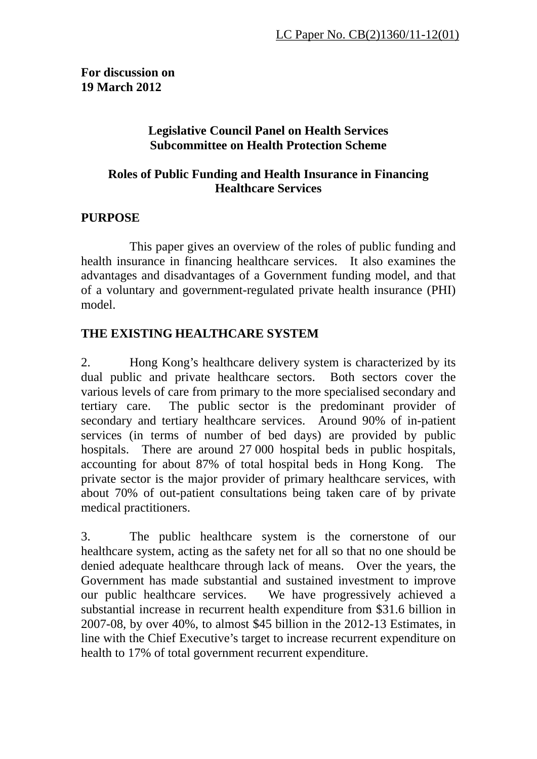**For discussion on 19 March 2012** 

### **Legislative Council Panel on Health Services Subcommittee on Health Protection Scheme**

### **Roles of Public Funding and Health Insurance in Financing Healthcare Services**

# **PURPOSE**

 This paper gives an overview of the roles of public funding and health insurance in financing healthcare services. It also examines the advantages and disadvantages of a Government funding model, and that of a voluntary and government-regulated private health insurance (PHI) model.

## **THE EXISTING HEALTHCARE SYSTEM**

2. Hong Kong's healthcare delivery system is characterized by its dual public and private healthcare sectors. Both sectors cover the various levels of care from primary to the more specialised secondary and tertiary care. The public sector is the predominant provider of secondary and tertiary healthcare services. Around 90% of in-patient services (in terms of number of bed days) are provided by public hospitals. There are around 27 000 hospital beds in public hospitals, accounting for about 87% of total hospital beds in Hong Kong. The private sector is the major provider of primary healthcare services, with about 70% of out-patient consultations being taken care of by private medical practitioners.

3. The public healthcare system is the cornerstone of our healthcare system, acting as the safety net for all so that no one should be denied adequate healthcare through lack of means. Over the years, the Government has made substantial and sustained investment to improve our public healthcare services. We have progressively achieved a substantial increase in recurrent health expenditure from \$31.6 billion in 2007-08, by over 40%, to almost \$45 billion in the 2012-13 Estimates, in line with the Chief Executive's target to increase recurrent expenditure on health to 17% of total government recurrent expenditure.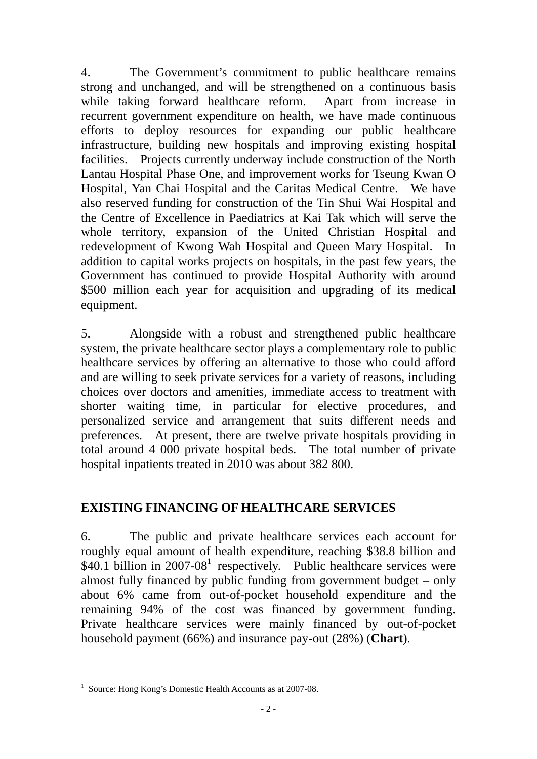4. The Government's commitment to public healthcare remains strong and unchanged, and will be strengthened on a continuous basis while taking forward healthcare reform. Apart from increase in recurrent government expenditure on health, we have made continuous efforts to deploy resources for expanding our public healthcare infrastructure, building new hospitals and improving existing hospital facilities. Projects currently underway include construction of the North Lantau Hospital Phase One, and improvement works for Tseung Kwan O Hospital, Yan Chai Hospital and the Caritas Medical Centre. We have also reserved funding for construction of the Tin Shui Wai Hospital and the Centre of Excellence in Paediatrics at Kai Tak which will serve the whole territory, expansion of the United Christian Hospital and redevelopment of Kwong Wah Hospital and Queen Mary Hospital. In addition to capital works projects on hospitals, in the past few years, the Government has continued to provide Hospital Authority with around \$500 million each year for acquisition and upgrading of its medical equipment.

5. Alongside with a robust and strengthened public healthcare system, the private healthcare sector plays a complementary role to public healthcare services by offering an alternative to those who could afford and are willing to seek private services for a variety of reasons, including choices over doctors and amenities, immediate access to treatment with shorter waiting time, in particular for elective procedures, and personalized service and arrangement that suits different needs and preferences. At present, there are twelve private hospitals providing in total around 4 000 private hospital beds. The total number of private hospital inpatients treated in 2010 was about 382 800.

### **EXISTING FINANCING OF HEALTHCARE SERVICES**

6. The public and private healthcare services each account for roughly equal amount of health expenditure, reaching \$38.8 billion and  $$40.1$  billion in 2007-08<sup>1</sup> respectively. Public healthcare services were almost fully financed by public funding from government budget – only about 6% came from out-of-pocket household expenditure and the remaining 94% of the cost was financed by government funding. Private healthcare services were mainly financed by out-of-pocket household payment (66%) and insurance pay-out (28%) (**Chart**).

 1 Source: Hong Kong's Domestic Health Accounts as at 2007-08.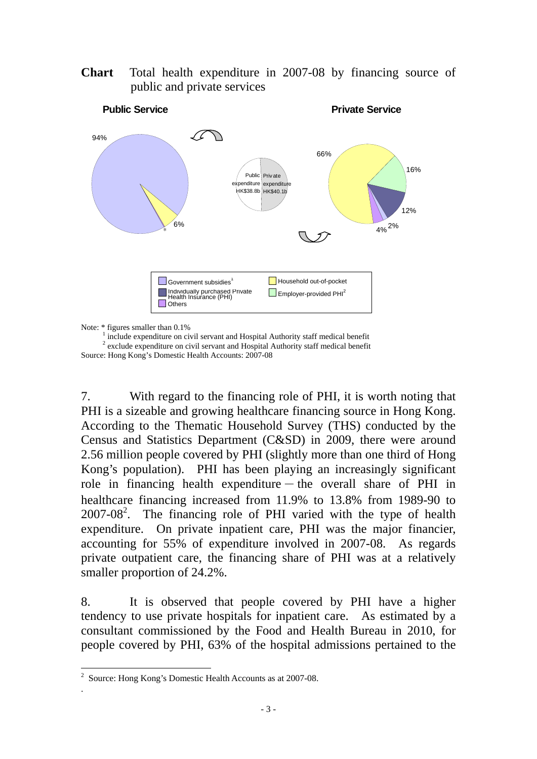**Chart** Total health expenditure in 2007-08 by financing source of public and private services



Note:  $*$  figures smaller than  $0.1\%$ 

 $\frac{1}{2}$  include expenditure on civil servant and Hospital Authority staff medical benefit <sup>2</sup> exclude expenditure on civil servant and Hospital Authority staff medical benefit Source: Hong Kong's Domestic Health Accounts: 2007-08

7. With regard to the financing role of PHI, it is worth noting that PHI is a sizeable and growing healthcare financing source in Hong Kong. According to the Thematic Household Survey (THS) conducted by the Census and Statistics Department (C&SD) in 2009, there were around 2.56 million people covered by PHI (slightly more than one third of Hong Kong's population). PHI has been playing an increasingly significant role in financing health expenditure-the overall share of PHI in healthcare financing increased from 11.9% to 13.8% from 1989-90 to  $2007-08<sup>2</sup>$ . The financing role of PHI varied with the type of health expenditure. On private inpatient care, PHI was the major financier, accounting for 55% of expenditure involved in 2007-08. As regards private outpatient care, the financing share of PHI was at a relatively smaller proportion of 24.2%.

8. It is observed that people covered by PHI have a higher tendency to use private hospitals for inpatient care. As estimated by a consultant commissioned by the Food and Health Bureau in 2010, for people covered by PHI, 63% of the hospital admissions pertained to the

.

 $\overline{a}$ <sup>2</sup> Source: Hong Kong's Domestic Health Accounts as at 2007-08.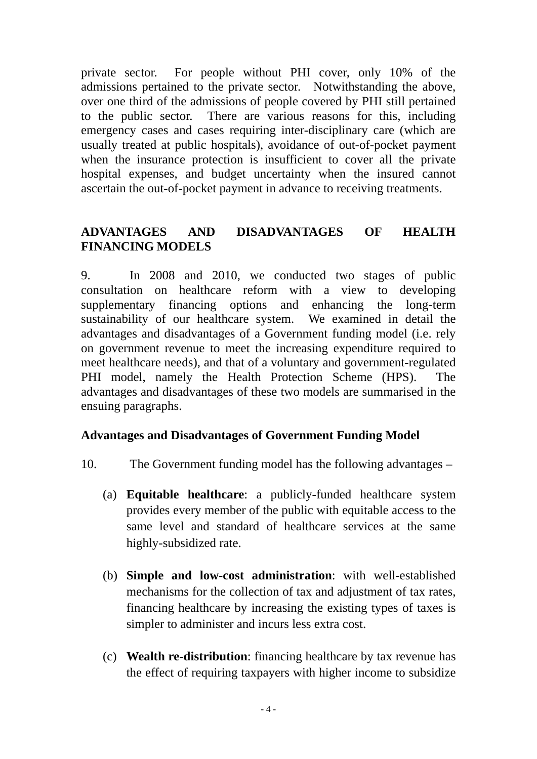private sector. For people without PHI cover, only 10% of the admissions pertained to the private sector. Notwithstanding the above, over one third of the admissions of people covered by PHI still pertained to the public sector. There are various reasons for this, including emergency cases and cases requiring inter-disciplinary care (which are usually treated at public hospitals), avoidance of out-of-pocket payment when the insurance protection is insufficient to cover all the private hospital expenses, and budget uncertainty when the insured cannot ascertain the out-of-pocket payment in advance to receiving treatments.

### **ADVANTAGES AND DISADVANTAGES OF HEALTH FINANCING MODELS**

9. In 2008 and 2010, we conducted two stages of public consultation on healthcare reform with a view to developing supplementary financing options and enhancing the long-term sustainability of our healthcare system. We examined in detail the advantages and disadvantages of a Government funding model (i.e. rely on government revenue to meet the increasing expenditure required to meet healthcare needs), and that of a voluntary and government-regulated PHI model, namely the Health Protection Scheme (HPS). advantages and disadvantages of these two models are summarised in the ensuing paragraphs.

#### **Advantages and Disadvantages of Government Funding Model**

- 10. The Government funding model has the following advantages
	- (a) **Equitable healthcare**: a publicly-funded healthcare system provides every member of the public with equitable access to the same level and standard of healthcare services at the same highly-subsidized rate.
	- (b) **Simple and low-cost administration**: with well-established mechanisms for the collection of tax and adjustment of tax rates, financing healthcare by increasing the existing types of taxes is simpler to administer and incurs less extra cost.
	- (c) **Wealth re-distribution**: financing healthcare by tax revenue has the effect of requiring taxpayers with higher income to subsidize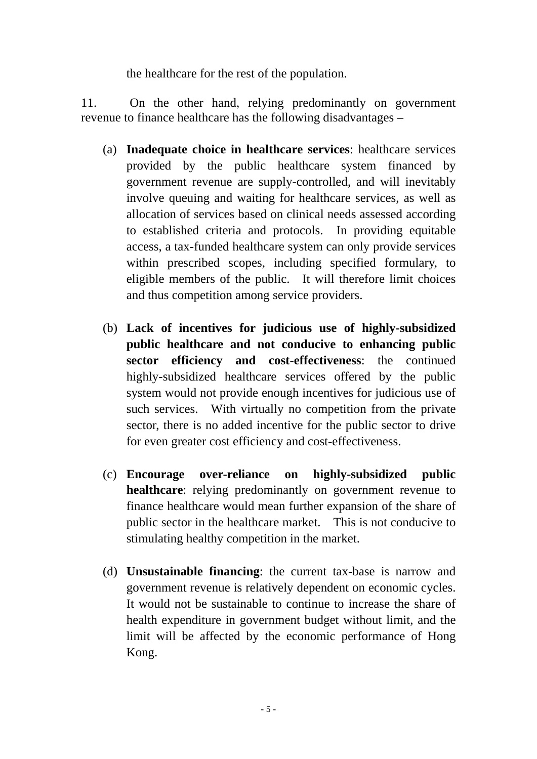the healthcare for the rest of the population.

11. On the other hand, relying predominantly on government revenue to finance healthcare has the following disadvantages –

- (a) **Inadequate choice in healthcare services**: healthcare services provided by the public healthcare system financed by government revenue are supply-controlled, and will inevitably involve queuing and waiting for healthcare services, as well as allocation of services based on clinical needs assessed according to established criteria and protocols. In providing equitable access, a tax-funded healthcare system can only provide services within prescribed scopes, including specified formulary, to eligible members of the public. It will therefore limit choices and thus competition among service providers.
- (b) **Lack of incentives for judicious use of highly-subsidized public healthcare and not conducive to enhancing public sector efficiency and cost-effectiveness**: the continued highly-subsidized healthcare services offered by the public system would not provide enough incentives for judicious use of such services. With virtually no competition from the private sector, there is no added incentive for the public sector to drive for even greater cost efficiency and cost-effectiveness.
- (c) **Encourage over-reliance on highly-subsidized public healthcare**: relying predominantly on government revenue to finance healthcare would mean further expansion of the share of public sector in the healthcare market. This is not conducive to stimulating healthy competition in the market.
- (d) **Unsustainable financing**: the current tax-base is narrow and government revenue is relatively dependent on economic cycles. It would not be sustainable to continue to increase the share of health expenditure in government budget without limit, and the limit will be affected by the economic performance of Hong Kong.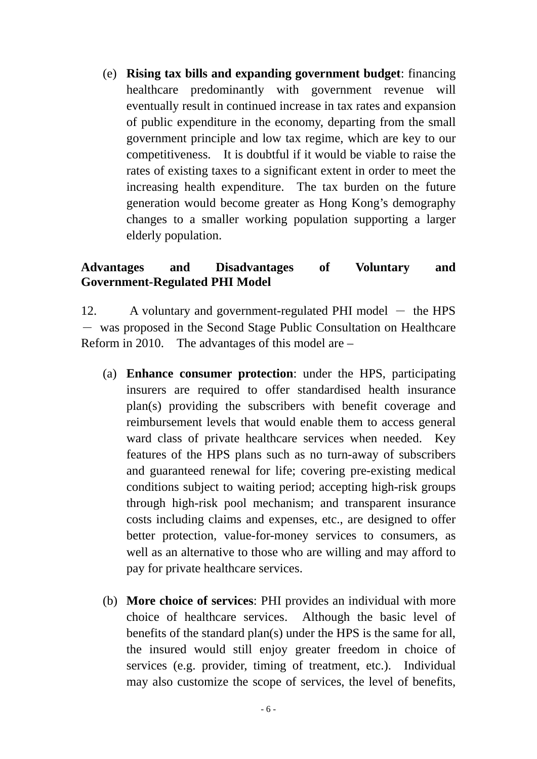(e) **Rising tax bills and expanding government budget**: financing healthcare predominantly with government revenue will eventually result in continued increase in tax rates and expansion of public expenditure in the economy, departing from the small government principle and low tax regime, which are key to our competitiveness. It is doubtful if it would be viable to raise the rates of existing taxes to a significant extent in order to meet the increasing health expenditure. The tax burden on the future generation would become greater as Hong Kong's demography changes to a smaller working population supporting a larger elderly population.

#### **Advantages and Disadvantages of Voluntary and Government-Regulated PHI Model**

12. A voluntary and government-regulated PHI model  $-$  the HPS - was proposed in the Second Stage Public Consultation on Healthcare Reform in 2010. The advantages of this model are –

- (a) **Enhance consumer protection**: under the HPS, participating insurers are required to offer standardised health insurance plan(s) providing the subscribers with benefit coverage and reimbursement levels that would enable them to access general ward class of private healthcare services when needed. Key features of the HPS plans such as no turn-away of subscribers and guaranteed renewal for life; covering pre-existing medical conditions subject to waiting period; accepting high-risk groups through high-risk pool mechanism; and transparent insurance costs including claims and expenses, etc., are designed to offer better protection, value-for-money services to consumers, as well as an alternative to those who are willing and may afford to pay for private healthcare services.
- (b) **More choice of services**: PHI provides an individual with more choice of healthcare services. Although the basic level of benefits of the standard plan(s) under the HPS is the same for all, the insured would still enjoy greater freedom in choice of services (e.g. provider, timing of treatment, etc.). Individual may also customize the scope of services, the level of benefits,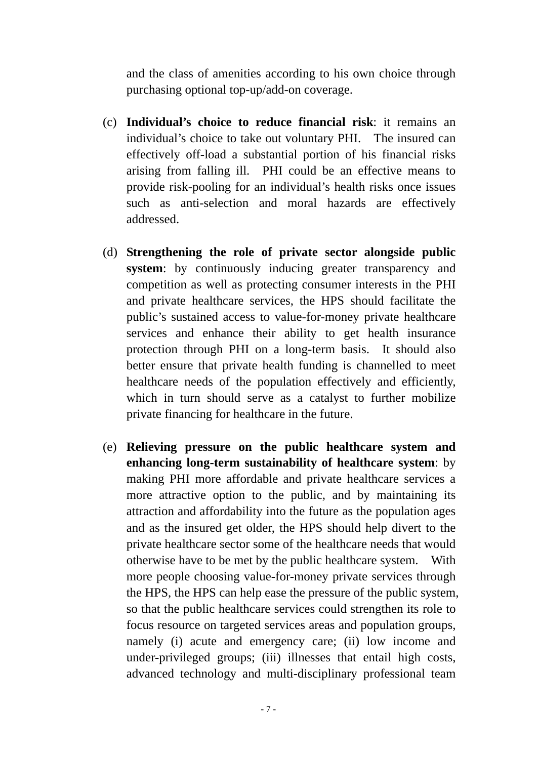and the class of amenities according to his own choice through purchasing optional top-up/add-on coverage.

- (c) **Individual's choice to reduce financial risk**: it remains an individual's choice to take out voluntary PHI. The insured can effectively off-load a substantial portion of his financial risks arising from falling ill. PHI could be an effective means to provide risk-pooling for an individual's health risks once issues such as anti-selection and moral hazards are effectively addressed.
- (d) **Strengthening the role of private sector alongside public system**: by continuously inducing greater transparency and competition as well as protecting consumer interests in the PHI and private healthcare services, the HPS should facilitate the public's sustained access to value-for-money private healthcare services and enhance their ability to get health insurance protection through PHI on a long-term basis. It should also better ensure that private health funding is channelled to meet healthcare needs of the population effectively and efficiently, which in turn should serve as a catalyst to further mobilize private financing for healthcare in the future.
- (e) **Relieving pressure on the public healthcare system and enhancing long-term sustainability of healthcare system**: by making PHI more affordable and private healthcare services a more attractive option to the public, and by maintaining its attraction and affordability into the future as the population ages and as the insured get older, the HPS should help divert to the private healthcare sector some of the healthcare needs that would otherwise have to be met by the public healthcare system. With more people choosing value-for-money private services through the HPS, the HPS can help ease the pressure of the public system, so that the public healthcare services could strengthen its role to focus resource on targeted services areas and population groups, namely (i) acute and emergency care; (ii) low income and under-privileged groups; (iii) illnesses that entail high costs, advanced technology and multi-disciplinary professional team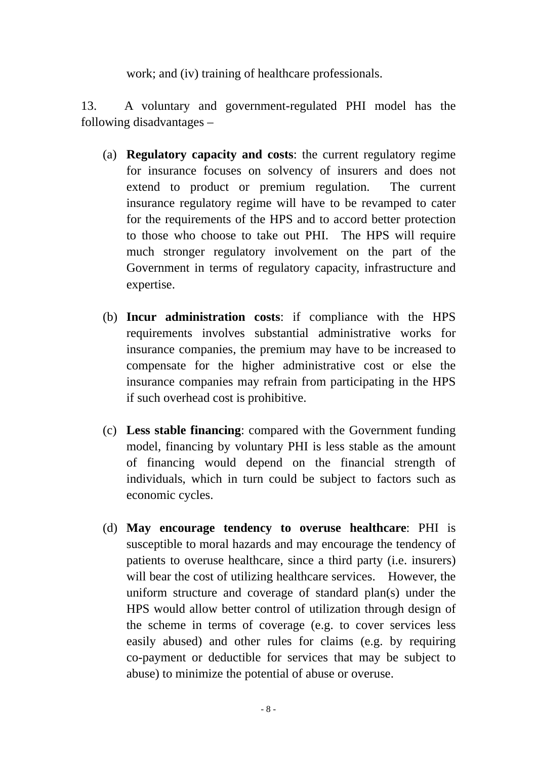work; and (iv) training of healthcare professionals.

13. A voluntary and government-regulated PHI model has the following disadvantages –

- (a) **Regulatory capacity and costs**: the current regulatory regime for insurance focuses on solvency of insurers and does not extend to product or premium regulation. The current insurance regulatory regime will have to be revamped to cater for the requirements of the HPS and to accord better protection to those who choose to take out PHI. The HPS will require much stronger regulatory involvement on the part of the Government in terms of regulatory capacity, infrastructure and expertise.
- (b) **Incur administration costs**: if compliance with the HPS requirements involves substantial administrative works for insurance companies, the premium may have to be increased to compensate for the higher administrative cost or else the insurance companies may refrain from participating in the HPS if such overhead cost is prohibitive.
- (c) **Less stable financing**: compared with the Government funding model, financing by voluntary PHI is less stable as the amount of financing would depend on the financial strength of individuals, which in turn could be subject to factors such as economic cycles.
- (d) **May encourage tendency to overuse healthcare**: PHI is susceptible to moral hazards and may encourage the tendency of patients to overuse healthcare, since a third party (i.e. insurers) will bear the cost of utilizing healthcare services. However, the uniform structure and coverage of standard plan(s) under the HPS would allow better control of utilization through design of the scheme in terms of coverage (e.g. to cover services less easily abused) and other rules for claims (e.g. by requiring co-payment or deductible for services that may be subject to abuse) to minimize the potential of abuse or overuse.